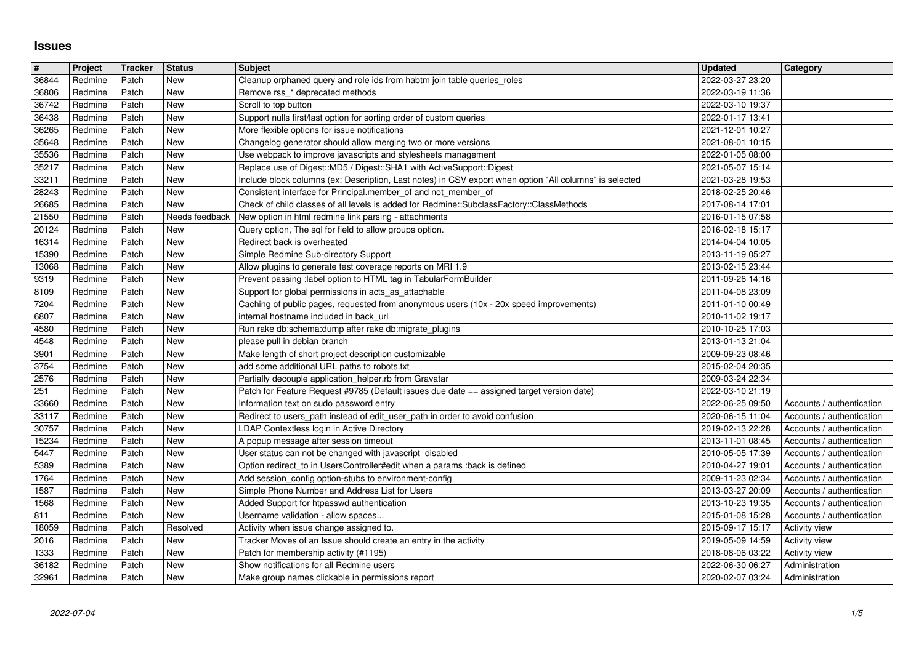## **Issues**

| $\pmb{\#}$     | Project            | Tracker        | <b>Status</b>                | <b>Subject</b>                                                                                                                                                                  | <b>Updated</b>                       | <b>Category</b>                                        |
|----------------|--------------------|----------------|------------------------------|---------------------------------------------------------------------------------------------------------------------------------------------------------------------------------|--------------------------------------|--------------------------------------------------------|
| 36844<br>36806 | Redmine<br>Redmine | Patch<br>Patch | New<br><b>New</b>            | Cleanup orphaned query and role ids from habtm join table queries_roles<br>Remove rss_* deprecated methods                                                                      | 2022-03-27 23:20<br>2022-03-19 11:36 |                                                        |
| 36742          | Redmine            | Patch          | <b>New</b>                   | Scroll to top button                                                                                                                                                            | 2022-03-10 19:37                     |                                                        |
| 36438<br>36265 | Redmine<br>Redmine | Patch<br>Patch | New<br><b>New</b>            | Support nulls first/last option for sorting order of custom queries<br>More flexible options for issue notifications                                                            | 2022-01-17 13:41<br>2021-12-01 10:27 |                                                        |
| 35648          | Redmine            | Patch          | New                          | Changelog generator should allow merging two or more versions                                                                                                                   | 2021-08-01 10:15                     |                                                        |
| 35536          | Redmine            | Patch          | New                          | Use webpack to improve javascripts and stylesheets management                                                                                                                   | 2022-01-05 08:00                     |                                                        |
| 35217<br>33211 | Redmine<br>Redmine | Patch<br>Patch | New<br>New                   | Replace use of Digest::MD5 / Digest::SHA1 with ActiveSupport::Digest<br>Include block columns (ex: Description, Last notes) in CSV export when option "All columns" is selected | 2021-05-07 15:14<br>2021-03-28 19:53 |                                                        |
| 28243          | Redmine            | Patch          | <b>New</b>                   | Consistent interface for Principal.member_of and not_member_of                                                                                                                  | 2018-02-25 20:46                     |                                                        |
| 26685<br>21550 | Redmine<br>Redmine | Patch<br>Patch | <b>New</b><br>Needs feedback | Check of child classes of all levels is added for Redmine::SubclassFactory::ClassMethods<br>New option in html redmine link parsing - attachments                               | 2017-08-14 17:01<br>2016-01-15 07:58 |                                                        |
| 20124          | Redmine            | Patch          | <b>New</b>                   | Query option, The sql for field to allow groups option.                                                                                                                         | 2016-02-18 15:17                     |                                                        |
| 16314          | Redmine            | Patch          | New                          | Redirect back is overheated                                                                                                                                                     | 2014-04-04 10:05                     |                                                        |
| 15390<br>13068 | Redmine<br>Redmine | Patch<br>Patch | New<br>New                   | Simple Redmine Sub-directory Support<br>Allow plugins to generate test coverage reports on MRI 1.9                                                                              | 2013-11-19 05:27<br>2013-02-15 23:44 |                                                        |
| 9319           | Redmine            | Patch          | New                          | Prevent passing :label option to HTML tag in TabularFormBuilder                                                                                                                 | 2011-09-26 14:16                     |                                                        |
| 8109<br>7204   | Redmine<br>Redmine | Patch<br>Patch | New<br><b>New</b>            | Support for global permissions in acts_as_attachable                                                                                                                            | 2011-04-08 23:09<br>2011-01-10 00:49 |                                                        |
| 6807           | Redmine            | Patch          | <b>New</b>                   | Caching of public pages, requested from anonymous users (10x - 20x speed improvements)<br>internal hostname included in back_url                                                | 2010-11-02 19:17                     |                                                        |
| 4580           | Redmine            | Patch          | New                          | Run rake db:schema:dump after rake db:migrate_plugins                                                                                                                           | 2010-10-25 17:03                     |                                                        |
| 4548<br>3901   | Redmine<br>Redmine | Patch<br>Patch | New<br><b>New</b>            | please pull in debian branch<br>Make length of short project description customizable                                                                                           | 2013-01-13 21:04<br>2009-09-23 08:46 |                                                        |
| 3754           | Redmine            | Patch          | <b>New</b>                   | add some additional URL paths to robots.txt                                                                                                                                     | 2015-02-04 20:35                     |                                                        |
| 2576           | Redmine            | Patch          | New<br>New                   | Partially decouple application_helper.rb from Gravatar                                                                                                                          | 2009-03-24 22:34                     |                                                        |
| 251<br>33660   | Redmine<br>Redmine | Patch<br>Patch | New                          | Patch for Feature Request #9785 (Default issues due date == assigned target version date)<br>Information text on sudo password entry                                            | 2022-03-10 21:19<br>2022-06-25 09:50 | Accounts / authentication                              |
| 33117          | Redmine            | Patch          | <b>New</b>                   | Redirect to users_path instead of edit_user_path in order to avoid confusion                                                                                                    | 2020-06-15 11:04                     | Accounts / authentication                              |
| 30757<br>15234 | Redmine<br>Redmine | Patch<br>Patch | New<br><b>New</b>            | LDAP Contextless login in Active Directory<br>A popup message after session timeout                                                                                             | 2019-02-13 22:28<br>2013-11-01 08:45 | Accounts / authentication<br>Accounts / authentication |
| 5447           | Redmine            | Patch          | New                          | User status can not be changed with javascript disabled                                                                                                                         | 2010-05-05 17:39                     | Accounts / authentication                              |
| 5389           | Redmine            | Patch          | <b>New</b>                   | Option redirect_to in UsersController#edit when a params :back is defined                                                                                                       | 2010-04-27 19:01                     | Accounts / authentication                              |
| 1764<br>1587   | Redmine<br>Redmine | Patch<br>Patch | New<br>New                   | Add session_config option-stubs to environment-config<br>Simple Phone Number and Address List for Users                                                                         | 2009-11-23 02:34<br>2013-03-27 20:09 | Accounts / authentication<br>Accounts / authentication |
| 1568           | Redmine            | Patch          | New                          | Added Support for htpasswd authentication                                                                                                                                       | 2013-10-23 19:35                     | Accounts / authentication                              |
| 811<br>18059   | Redmine<br>Redmine | Patch<br>Patch | New<br>Resolved              | Username validation - allow spaces<br>Activity when issue change assigned to.                                                                                                   | 2015-01-08 15:28<br>2015-09-17 15:17 | Accounts / authentication<br><b>Activity view</b>      |
| 2016           | Redmine            | Patch          | New                          | Tracker Moves of an Issue should create an entry in the activity                                                                                                                | 2019-05-09 14:59                     | Activity view                                          |
| 1333           | Redmine            | Patch          | New                          | Patch for membership activity (#1195)                                                                                                                                           | 2018-08-06 03:22                     | Activity view                                          |
| 36182<br>32961 | Redmine<br>Redmine | Patch<br>Patch | <b>New</b><br>New            | Show notifications for all Redmine users<br>Make group names clickable in permissions report                                                                                    | 2022-06-30 06:27<br>2020-02-07 03:24 | Administration<br>Administration                       |
|                |                    |                |                              |                                                                                                                                                                                 |                                      |                                                        |
|                |                    |                |                              |                                                                                                                                                                                 |                                      |                                                        |
|                |                    |                |                              |                                                                                                                                                                                 |                                      |                                                        |
|                |                    |                |                              |                                                                                                                                                                                 |                                      |                                                        |
|                |                    |                |                              |                                                                                                                                                                                 |                                      |                                                        |
|                |                    |                |                              |                                                                                                                                                                                 |                                      |                                                        |
|                |                    |                |                              |                                                                                                                                                                                 |                                      |                                                        |
|                |                    |                |                              |                                                                                                                                                                                 |                                      |                                                        |
|                |                    |                |                              |                                                                                                                                                                                 |                                      |                                                        |
|                |                    |                |                              |                                                                                                                                                                                 |                                      |                                                        |
|                |                    |                |                              |                                                                                                                                                                                 |                                      |                                                        |
|                |                    |                |                              |                                                                                                                                                                                 |                                      |                                                        |
|                |                    |                |                              |                                                                                                                                                                                 |                                      |                                                        |
|                |                    |                |                              |                                                                                                                                                                                 |                                      |                                                        |
|                |                    |                |                              |                                                                                                                                                                                 |                                      |                                                        |
|                |                    |                |                              |                                                                                                                                                                                 |                                      |                                                        |
|                |                    |                |                              |                                                                                                                                                                                 |                                      |                                                        |
|                |                    |                |                              |                                                                                                                                                                                 |                                      |                                                        |
|                |                    |                |                              |                                                                                                                                                                                 |                                      |                                                        |
|                |                    |                |                              |                                                                                                                                                                                 |                                      |                                                        |
|                |                    |                |                              |                                                                                                                                                                                 |                                      |                                                        |
|                |                    |                |                              |                                                                                                                                                                                 |                                      |                                                        |
|                |                    |                |                              |                                                                                                                                                                                 |                                      |                                                        |
|                |                    |                |                              |                                                                                                                                                                                 |                                      |                                                        |
|                |                    |                |                              |                                                                                                                                                                                 |                                      |                                                        |
|                |                    |                |                              |                                                                                                                                                                                 |                                      |                                                        |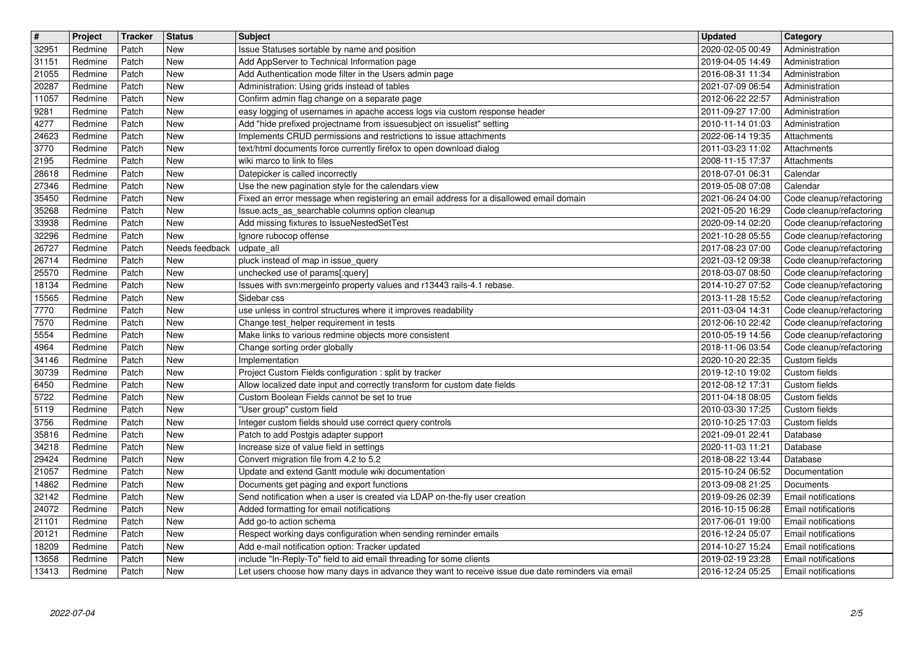| $\overline{\boldsymbol{H}}$ | Project            | Tracker        | <b>Status</b>         | <b>Subject</b>                                                                                                                              | <b>Updated</b>                       | <b>Category</b>                                      |
|-----------------------------|--------------------|----------------|-----------------------|---------------------------------------------------------------------------------------------------------------------------------------------|--------------------------------------|------------------------------------------------------|
| 32951<br>31151              | Redmine<br>Redmine | Patch<br>Patch | New<br>New            | Issue Statuses sortable by name and position<br>Add AppServer to Technical Information page                                                 | 2020-02-05 00:49<br>2019-04-05 14:49 | Administration<br>Administration                     |
| 21055                       | Redmine            | Patch          | New                   | Add Authentication mode filter in the Users admin page                                                                                      | 2016-08-31 11:34                     | Administration                                       |
| 20287<br>11057              | Redmine<br>Redmine | Patch<br>Patch | New<br>New            | Administration: Using grids instead of tables<br>Confirm admin flag change on a separate page                                               | 2021-07-09 06:54<br>2012-06-22 22:57 | Administration<br>Administration                     |
| 9281                        | Redmine            | Patch          | New                   | easy logging of usernames in apache access logs via custom response header                                                                  | 2011-09-27 17:00                     | Administration                                       |
| 4277<br>24623               | Redmine<br>Redmine | Patch<br>Patch | New<br>New            | Add "hide prefixed projectname from issuesubject on issuelist" setting<br>Implements CRUD permissions and restrictions to issue attachments | 2010-11-14 01:03<br>2022-06-14 19:35 | Administration<br>Attachments                        |
| 3770                        | Redmine            | Patch          | New                   | text/html documents force currently firefox to open download dialog                                                                         | 2011-03-23 11:02                     | Attachments                                          |
| 2195                        | Redmine            | Patch          | New                   | wiki marco to link to files                                                                                                                 | 2008-11-15 17:37                     | Attachments                                          |
| 28618<br>27346              | Redmine<br>Redmine | Patch<br>Patch | New<br>New            | Datepicker is called incorrectly<br>Use the new pagination style for the calendars view                                                     | 2018-07-01 06:31<br>2019-05-08 07:08 | Calendar<br>Calendar                                 |
| 35450                       | Redmine            | Patch          | New                   | Fixed an error message when registering an email address for a disallowed email domain                                                      | 2021-06-24 04:00                     | Code cleanup/refactoring                             |
| 35268<br>33938              | Redmine<br>Redmine | Patch<br>Patch | New<br>New            | Issue.acts_as_searchable columns option cleanup<br>Add missing fixtures to IssueNestedSetTest                                               | 2021-05-20 16:29<br>2020-09-14 02:20 | Code cleanup/refactoring<br>Code cleanup/refactoring |
| 32296                       | Redmine            | Patch          | New                   | Ignore rubocop offense                                                                                                                      | 2021-10-28 05:55                     | Code cleanup/refactoring                             |
| 26727<br>26714              | Redmine<br>Redmine | Patch<br>Patch | Needs feedback<br>New | udpate_all<br>pluck instead of map in issue_query                                                                                           | 2017-08-23 07:00<br>2021-03-12 09:38 | Code cleanup/refactoring<br>Code cleanup/refactoring |
| 25570                       | Redmine            | Patch          | New                   | unchecked use of params[:query]                                                                                                             | 2018-03-07 08:50                     | Code cleanup/refactoring                             |
| 18134                       | Redmine            | Patch          | New<br>New            | Issues with svn:mergeinfo property values and r13443 rails-4.1 rebase.<br>Sidebar css                                                       | 2014-10-27 07:52<br>2013-11-28 15:52 | Code cleanup/refactoring                             |
| 15565<br>7770               | Redmine<br>Redmine | Patch<br>Patch | New                   | use unless in control structures where it improves readability                                                                              | 2011-03-04 14:31                     | Code cleanup/refactoring<br>Code cleanup/refactoring |
| 7570                        | Redmine            | Patch          | New                   | Change test_helper requirement in tests                                                                                                     | 2012-06-10 22:42                     | Code cleanup/refactoring                             |
| 5554<br>4964                | Redmine<br>Redmine | Patch<br>Patch | New<br>New            | Make links to various redmine objects more consistent<br>Change sorting order globally                                                      | 2010-05-19 14:56<br>2018-11-06 03:54 | Code cleanup/refactoring<br>Code cleanup/refactoring |
| 34146                       | Redmine            | Patch          | New                   | Implementation                                                                                                                              | 2020-10-20 22:35                     | Custom fields                                        |
| 30739<br>6450               | Redmine<br>Redmine | Patch<br>Patch | New<br>New            | Project Custom Fields configuration : split by tracker<br>Allow localized date input and correctly transform for custom date fields         | 2019-12-10 19:02<br>2012-08-12 17:31 | Custom fields<br>Custom fields                       |
| 5722                        | Redmine            | Patch          | New                   | Custom Boolean Fields cannot be set to true                                                                                                 | 2011-04-18 08:05                     | Custom fields                                        |
| 5119                        | Redmine            | Patch          | New                   | "User group" custom field                                                                                                                   | 2010-03-30 17:25                     | Custom fields                                        |
| 3756<br>35816               | Redmine<br>Redmine | Patch<br>Patch | New<br>New            | Integer custom fields should use correct query controls<br>Patch to add Postgis adapter support                                             | 2010-10-25 17:03<br>2021-09-01 22:41 | Custom fields<br>Database                            |
| 34218                       | Redmine            | Patch          | New                   | Increase size of value field in settings                                                                                                    | 2020-11-03 11:21                     | Database                                             |
| 29424<br>21057              | Redmine<br>Redmine | Patch<br>Patch | New<br>New            | Convert migration file from 4.2 to 5.2<br>Update and extend Gantt module wiki documentation                                                 | 2018-08-22 13:44<br>2015-10-24 06:52 | Database<br>Documentation                            |
| 14862                       | Redmine            | Patch          | New                   | Documents get paging and export functions                                                                                                   | 2013-09-08 21:25                     | Documents                                            |
| 32142                       | Redmine            | Patch          | New                   | Send notification when a user is created via LDAP on-the-fly user creation                                                                  | 2019-09-26 02:39                     | Email notifications                                  |
| 24072<br>21101              | Redmine<br>Redmine | Patch<br>Patch | New<br>New            | Added formatting for email notifications<br>Add go-to action schema                                                                         | 2016-10-15 06:28<br>2017-06-01 19:00 | Email notifications<br><b>Email notifications</b>    |
| 20121                       | Redmine            | Patch          | New                   | Respect working days configuration when sending reminder emails                                                                             | 2016-12-24 05:07                     | Email notifications                                  |
| 18209<br>13658              | Redmine<br>Redmine | Patch<br>Patch | New<br>New            | Add e-mail notification option: Tracker updated<br>include "In-Reply-To" field to aid email threading for some clients                      | 2014-10-27 15:24<br>2019-02-19 23:28 | Email notifications<br>Email notifications           |
| 13413                       | Redmine            | Patch          | New                   | Let users choose how many days in advance they want to receive issue due date reminders via email                                           | 2016-12-24 05:25                     | Email notifications                                  |
|                             |                    |                |                       |                                                                                                                                             |                                      |                                                      |
|                             |                    |                |                       |                                                                                                                                             |                                      |                                                      |
|                             |                    |                |                       |                                                                                                                                             |                                      |                                                      |
|                             |                    |                |                       |                                                                                                                                             |                                      |                                                      |
|                             |                    |                |                       |                                                                                                                                             |                                      |                                                      |
|                             |                    |                |                       |                                                                                                                                             |                                      |                                                      |
|                             |                    |                |                       |                                                                                                                                             |                                      |                                                      |
|                             |                    |                |                       |                                                                                                                                             |                                      |                                                      |
|                             |                    |                |                       |                                                                                                                                             |                                      |                                                      |
|                             |                    |                |                       |                                                                                                                                             |                                      |                                                      |
|                             |                    |                |                       |                                                                                                                                             |                                      |                                                      |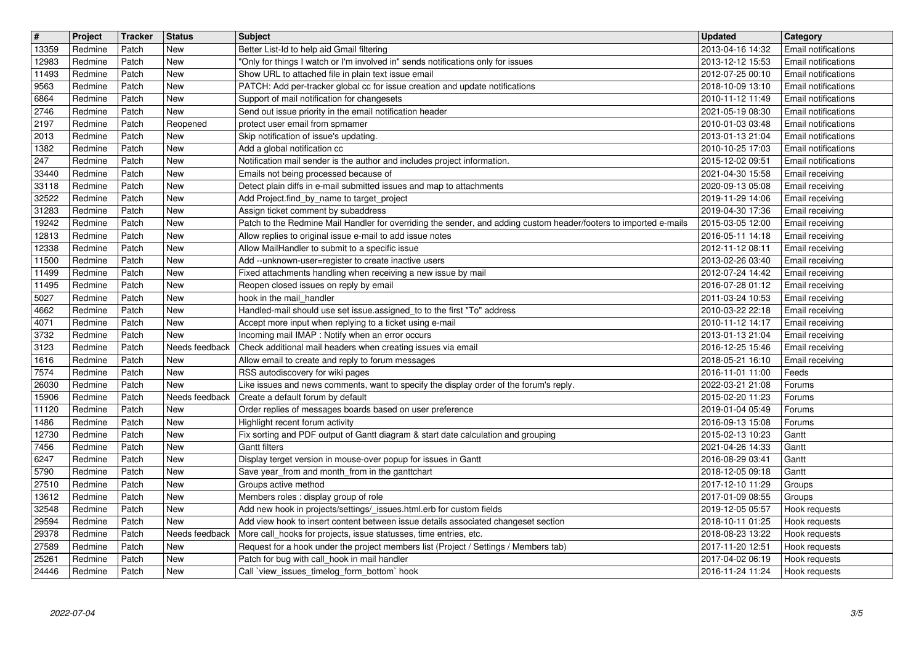| $\overline{\boldsymbol{H}}$<br>13359 | Project<br>Redmine | Tracker<br>Patch | <b>Status</b><br>New  | <b>Subject</b><br>Better List-Id to help aid Gmail filtering                                                                                                                   | <b>Updated</b><br>2013-04-16 14:32   | Category<br><b>Email notifications</b>                   |
|--------------------------------------|--------------------|------------------|-----------------------|--------------------------------------------------------------------------------------------------------------------------------------------------------------------------------|--------------------------------------|----------------------------------------------------------|
| 12983                                | Redmine            | Patch            | New                   | "Only for things I watch or I'm involved in" sends notifications only for issues                                                                                               | 2013-12-12 15:53                     | Email notifications                                      |
| 11493<br>9563                        | Redmine<br>Redmine | Patch<br>Patch   | New<br>New            | Show URL to attached file in plain text issue email<br>PATCH: Add per-tracker global cc for issue creation and update notifications                                            | 2012-07-25 00:10<br>2018-10-09 13:10 | <b>Email notifications</b><br><b>Email notifications</b> |
| 6864                                 | Redmine            | Patch            | New                   | Support of mail notification for changesets                                                                                                                                    | 2010-11-12 11:49                     | <b>Email notifications</b>                               |
| 2746<br>2197                         | Redmine<br>Redmine | Patch<br>Patch   | New<br>Reopened       | Send out issue priority in the email notification header<br>protect user email from spmamer                                                                                    | 2021-05-19 08:30<br>2010-01-03 03:48 | <b>Email notifications</b><br><b>Email notifications</b> |
| 2013                                 | Redmine            | Patch            | New                   | Skip notification of issue's updating.                                                                                                                                         | 2013-01-13 21:04                     | Email notifications                                      |
| 1382<br>247                          | Redmine<br>Redmine | Patch<br>Patch   | New<br>New            | Add a global notification cc<br>Notification mail sender is the author and includes project information.                                                                       | 2010-10-25 17:03<br>2015-12-02 09:51 | <b>Email notifications</b><br><b>Email notifications</b> |
| 33440                                | Redmine            | Patch            | New                   | Emails not being processed because of                                                                                                                                          | 2021-04-30 15:58                     | Email receiving                                          |
| 33118<br>32522                       | Redmine<br>Redmine | Patch<br>Patch   | New<br>New            | Detect plain diffs in e-mail submitted issues and map to attachments<br>Add Project.find_by_name to target_project                                                             | 2020-09-13 05:08<br>2019-11-29 14:06 | Email receiving<br>Email receiving                       |
| 31283                                | Redmine            | Patch            | <b>New</b>            | Assign ticket comment by subaddress                                                                                                                                            | 2019-04-30 17:36                     | Email receiving                                          |
| 19242<br>12813                       | Redmine<br>Redmine | Patch<br>Patch   | <b>New</b><br>New     | Patch to the Redmine Mail Handler for overriding the sender, and adding custom header/footers to imported e-mails<br>Allow replies to original issue e-mail to add issue notes | 2015-03-05 12:00<br>2016-05-11 14:18 | Email receiving<br>Email receiving                       |
| 12338                                | Redmine            | Patch            | New                   | Allow MailHandler to submit to a specific issue                                                                                                                                | 2012-11-12 08:11                     | Email receiving                                          |
| 11500<br>11499                       | Redmine<br>Redmine | Patch<br>Patch   | New<br>New            | Add --unknown-user=register to create inactive users<br>Fixed attachments handling when receiving a new issue by mail                                                          | 2013-02-26 03:40<br>2012-07-24 14:42 | Email receiving<br>Email receiving                       |
| 11495                                | Redmine            | Patch            | New                   | Reopen closed issues on reply by email                                                                                                                                         | 2016-07-28 01:12                     | <b>Email receiving</b>                                   |
| 5027<br>4662                         | Redmine<br>Redmine | Patch<br>Patch   | New<br>New            | hook in the mail_handler<br>Handled-mail should use set issue.assigned_to to the first "To" address                                                                            | 2011-03-24 10:53<br>2010-03-22 22:18 | Email receiving<br>Email receiving                       |
| 4071                                 | Redmine            | Patch            | New                   | Accept more input when replying to a ticket using e-mail                                                                                                                       | 2010-11-12 14:17                     | Email receiving                                          |
| 3732<br>3123                         | Redmine<br>Redmine | Patch<br>Patch   | New<br>Needs feedback | Incoming mail IMAP : Notify when an error occurs<br>Check additional mail headers when creating issues via email                                                               | 2013-01-13 21:04<br>2016-12-25 15:46 | Email receiving<br>Email receiving                       |
| 1616                                 | Redmine            | Patch            | New                   | Allow email to create and reply to forum messages                                                                                                                              | 2018-05-21 16:10                     | Email receiving                                          |
| 7574<br>26030                        | Redmine<br>Redmine | Patch<br>Patch   | New<br>New            | RSS autodiscovery for wiki pages<br>Like issues and news comments, want to specify the display order of the forum's reply.                                                     | 2016-11-01 11:00<br>2022-03-21 21:08 | Feeds<br>Forums                                          |
| 15906                                | Redmine            | Patch            | Needs feedback        | Create a default forum by default                                                                                                                                              | 2015-02-20 11:23                     | Forums                                                   |
| 11120<br>1486                        | Redmine<br>Redmine | Patch<br>Patch   | <b>New</b><br>New     | Order replies of messages boards based on user preference<br>Highlight recent forum activity                                                                                   | 2019-01-04 05:49<br>2016-09-13 15:08 | Forums<br>Forums                                         |
| 12730                                | Redmine            | Patch            | <b>New</b>            | Fix sorting and PDF output of Gantt diagram & start date calculation and grouping                                                                                              | 2015-02-13 10:23                     | Gantt                                                    |
| 7456<br>6247                         | Redmine<br>Redmine | Patch<br>Patch   | <b>New</b><br>New     | <b>Gantt filters</b><br>Display terget version in mouse-over popup for issues in Gantt                                                                                         | 2021-04-26 14:33<br>2016-08-29 03:41 | Gantt                                                    |
| 5790                                 | Redmine            | Patch            | New                   | Save year_from and month_from in the ganttchart                                                                                                                                | 2018-12-05 09:18                     | Gantt<br>Gantt                                           |
| 27510                                | Redmine            | Patch<br>Patch   | New<br><b>New</b>     | Groups active method                                                                                                                                                           | 2017-12-10 11:29<br>2017-01-09 08:55 | Groups                                                   |
| 13612<br>32548                       | Redmine<br>Redmine | Patch            | New                   | Members roles : display group of role<br>Add new hook in projects/settings/_issues.html.erb for custom fields                                                                  | 2019-12-05 05:57                     | Groups<br>Hook requests                                  |
| 29594                                | Redmine            | Patch            | New                   | Add view hook to insert content between issue details associated changeset section                                                                                             | 2018-10-11 01:25                     | Hook requests                                            |
| 29378<br>27589                       | Redmine<br>Redmine | Patch<br>Patch   | Needs feedback<br>New | More call_hooks for projects, issue statusses, time entries, etc.<br>Request for a hook under the project members list (Project / Settings / Members tab)                      | 2018-08-23 13:22<br>2017-11-20 12:51 | Hook requests<br>Hook requests                           |
| 25261<br>24446                       | Redmine<br>Redmine | Patch<br>Patch   | New<br>New            | Patch for bug with call_hook in mail handler<br>Call 'view_issues_timelog_form_bottom' hook                                                                                    | 2017-04-02 06:19<br>2016-11-24 11:24 | Hook requests<br>Hook requests                           |
|                                      |                    |                  |                       |                                                                                                                                                                                |                                      |                                                          |
|                                      |                    |                  |                       |                                                                                                                                                                                |                                      |                                                          |
|                                      |                    |                  |                       |                                                                                                                                                                                |                                      |                                                          |
|                                      |                    |                  |                       |                                                                                                                                                                                |                                      |                                                          |
|                                      |                    |                  |                       |                                                                                                                                                                                |                                      |                                                          |
|                                      |                    |                  |                       |                                                                                                                                                                                |                                      |                                                          |
|                                      |                    |                  |                       |                                                                                                                                                                                |                                      |                                                          |
|                                      |                    |                  |                       |                                                                                                                                                                                |                                      |                                                          |
|                                      |                    |                  |                       |                                                                                                                                                                                |                                      |                                                          |
|                                      |                    |                  |                       |                                                                                                                                                                                |                                      |                                                          |
|                                      |                    |                  |                       |                                                                                                                                                                                |                                      |                                                          |
|                                      |                    |                  |                       |                                                                                                                                                                                |                                      |                                                          |
|                                      |                    |                  |                       |                                                                                                                                                                                |                                      |                                                          |
|                                      |                    |                  |                       |                                                                                                                                                                                |                                      |                                                          |
|                                      |                    |                  |                       |                                                                                                                                                                                |                                      |                                                          |
|                                      |                    |                  |                       |                                                                                                                                                                                |                                      |                                                          |
|                                      |                    |                  |                       |                                                                                                                                                                                |                                      |                                                          |
|                                      |                    |                  |                       |                                                                                                                                                                                |                                      |                                                          |
|                                      |                    |                  |                       |                                                                                                                                                                                |                                      |                                                          |
|                                      |                    |                  |                       |                                                                                                                                                                                |                                      |                                                          |
|                                      |                    |                  |                       |                                                                                                                                                                                |                                      |                                                          |
|                                      |                    |                  |                       |                                                                                                                                                                                |                                      |                                                          |
|                                      |                    |                  |                       |                                                                                                                                                                                |                                      |                                                          |
|                                      |                    |                  |                       |                                                                                                                                                                                |                                      |                                                          |
|                                      |                    |                  |                       |                                                                                                                                                                                |                                      |                                                          |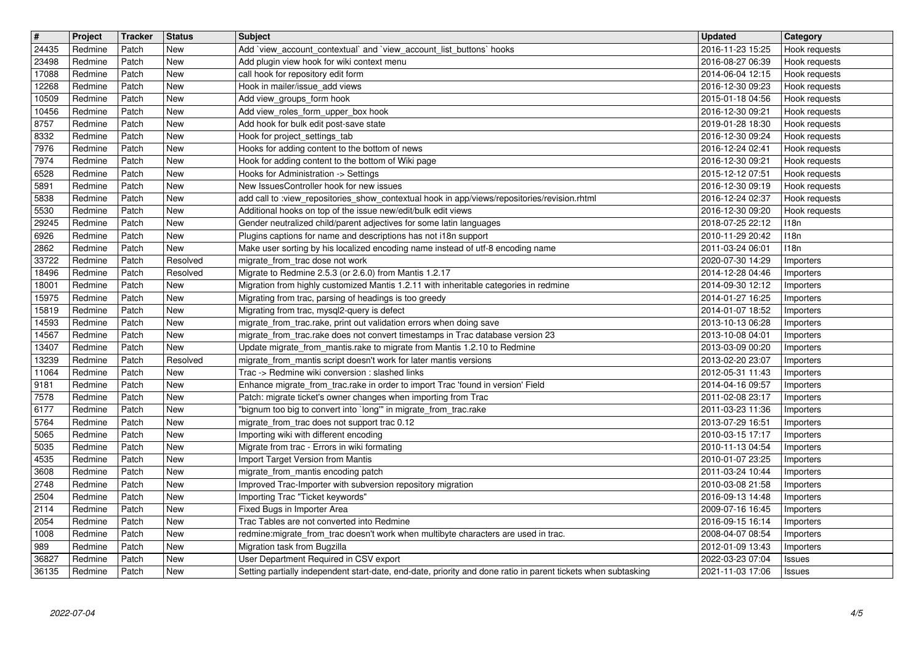| $\sqrt{t}$     | Project            | <b>Tracker</b> | <b>Status</b>            | <b>Subject</b>                                                                                                                                     | <b>Updated</b>                       | <b>Category</b>                |
|----------------|--------------------|----------------|--------------------------|----------------------------------------------------------------------------------------------------------------------------------------------------|--------------------------------------|--------------------------------|
| 24435          | Redmine            | Patch          | <b>New</b><br><b>New</b> | Add `view_account_contextual` and `view_account_list_buttons` hooks                                                                                | 2016-11-23 15:25                     | Hook requests                  |
| 23498<br>17088 | Redmine<br>Redmine | Patch<br>Patch | <b>New</b>               | Add plugin view hook for wiki context menu<br>call hook for repository edit form                                                                   | 2016-08-27 06:39<br>2014-06-04 12:15 | Hook requests<br>Hook requests |
| 12268          | Redmine            | Patch          | <b>New</b>               | Hook in mailer/issue_add views                                                                                                                     | 2016-12-30 09:23                     | Hook requests                  |
| 10509          | Redmine            | Patch          | <b>New</b>               | Add view_groups_form hook                                                                                                                          | 2015-01-18 04:56                     | Hook requests                  |
| 10456          | Redmine            | Patch          | <b>New</b>               | Add view_roles_form_upper_box hook                                                                                                                 | 2016-12-30 09:21                     | Hook requests                  |
| 8757<br>8332   | Redmine<br>Redmine | Patch<br>Patch | <b>New</b><br><b>New</b> | Add hook for bulk edit post-save state<br>Hook for project_settings_tab                                                                            | 2019-01-28 18:30<br>2016-12-30 09:24 | Hook requests<br>Hook requests |
| 7976           | Redmine            | Patch          | <b>New</b>               | Hooks for adding content to the bottom of news                                                                                                     | 2016-12-24 02:41                     | Hook requests                  |
| 7974           | Redmine            | Patch          | <b>New</b>               | Hook for adding content to the bottom of Wiki page                                                                                                 | 2016-12-30 09:21                     | Hook requests                  |
| 6528           | Redmine            | Patch          | <b>New</b>               | Hooks for Administration -> Settings<br>New IssuesController hook for new issues                                                                   | 2015-12-12 07:51                     | Hook requests                  |
| 5891<br>5838   | Redmine<br>Redmine | Patch<br>Patch | New<br>New               | add call to :view_repositories_show_contextual hook in app/views/repositories/revision.rhtml                                                       | 2016-12-30 09:19<br>2016-12-24 02:37 | Hook requests<br>Hook requests |
| 5530           | Redmine            | Patch          | New                      | Additional hooks on top of the issue new/edit/bulk edit views                                                                                      | 2016-12-30 09:20                     | Hook requests                  |
| 29245          | Redmine            | Patch          | <b>New</b>               | Gender neutralized child/parent adjectives for some latin languages                                                                                | 2018-07-25 22:12                     | 118n                           |
| 6926<br>2862   | Redmine<br>Redmine | Patch<br>Patch | <b>New</b><br><b>New</b> | Plugins captions for name and descriptions has not i18n support<br>Make user sorting by his localized encoding name instead of utf-8 encoding name | 2010-11-29 20:42                     | 118n<br>118n                   |
| 33722          | Redmine            | Patch          | Resolved                 | migrate_from_trac dose not work                                                                                                                    | 2011-03-24 06:01<br>2020-07-30 14:29 | Importers                      |
| 18496          | Redmine            | Patch          | Resolved                 | Migrate to Redmine 2.5.3 (or 2.6.0) from Mantis 1.2.17                                                                                             | 2014-12-28 04:46                     | Importers                      |
| 18001          | Redmine            | Patch          | <b>New</b>               | Migration from highly customized Mantis 1.2.11 with inheritable categories in redmine                                                              | 2014-09-30 12:12                     | Importers                      |
| 15975<br>15819 | Redmine<br>Redmine | Patch<br>Patch | New<br>New               | Migrating from trac, parsing of headings is too greedy<br>Migrating from trac, mysql2-query is defect                                              | 2014-01-27 16:25<br>2014-01-07 18:52 | Importers                      |
| 14593          | Redmine            | Patch          | <b>New</b>               | migrate_from_trac.rake, print out validation errors when doing save                                                                                | 2013-10-13 06:28                     | Importers<br>Importers         |
| 14567          | Redmine            | Patch          | <b>New</b>               | migrate_from_trac.rake does not convert timestamps in Trac database version 23                                                                     | 2013-10-08 04:01                     | Importers                      |
| 13407          | Redmine            | Patch          | <b>New</b>               | Update migrate_from_mantis.rake to migrate from Mantis 1.2.10 to Redmine                                                                           | 2013-03-09 00:20                     | Importers                      |
| 13239<br>11064 | Redmine<br>Redmine | Patch<br>Patch | Resolved<br><b>New</b>   | migrate_from_mantis script doesn't work for later mantis versions<br>Trac -> Redmine wiki conversion : slashed links                               | 2013-02-20 23:07<br>2012-05-31 11:43 | Importers                      |
| 9181           | Redmine            | Patch          | <b>New</b>               | Enhance migrate_from_trac.rake in order to import Trac 'found in version' Field                                                                    | 2014-04-16 09:57                     | Importers<br>Importers         |
| 7578           | Redmine            | Patch          | <b>New</b>               | Patch: migrate ticket's owner changes when importing from Trac                                                                                     | 2011-02-08 23:17                     | Importers                      |
| 6177           | Redmine            | Patch          | New                      | "bignum too big to convert into `long'" in migrate_from_trac.rake                                                                                  | 2011-03-23 11:36                     | Importers                      |
| 5764<br>5065   | Redmine<br>Redmine | Patch<br>Patch | New<br>New               | migrate_from_trac does not support trac 0.12<br>Importing wiki with different encoding                                                             | 2013-07-29 16:51<br>2010-03-15 17:17 | Importers<br>Importers         |
| 5035           | Redmine            | Patch          | New                      | Migrate from trac - Errors in wiki formating                                                                                                       | 2010-11-13 04:54                     | Importers                      |
| 4535           | Redmine            | Patch          | <b>New</b>               | Import Target Version from Mantis                                                                                                                  | 2010-01-07 23:25                     | Importers                      |
| 3608           | Redmine            | Patch          | <b>New</b>               | migrate_from_mantis encoding patch                                                                                                                 | 2011-03-24 10:44                     | Importers                      |
| 2748<br>2504   | Redmine<br>Redmine | Patch<br>Patch | <b>New</b><br><b>New</b> | Improved Trac-Importer with subversion repository migration<br>Importing Trac "Ticket keywords"                                                    | 2010-03-08 21:58<br>2016-09-13 14:48 | Importers<br>Importers         |
| 2114           | Redmine            | Patch          | <b>New</b>               | Fixed Bugs in Importer Area                                                                                                                        | 2009-07-16 16:45                     | Importers                      |
| 2054           | Redmine            | Patch          | New                      | Trac Tables are not converted into Redmine                                                                                                         | 2016-09-15 16:14   Importers         |                                |
| 1008           | Redmine            | Patch          | New                      | redmine: migrate_from_trac doesn't work when multibyte characters are used in trac.                                                                | 2008-04-07 08:54                     | Importers                      |
| 989<br>36827   | Redmine<br>Redmine | Patch<br>Patch | New<br>New               | Migration task from Bugzilla<br>User Department Required in CSV export                                                                             | 2012-01-09 13:43<br>2022-03-23 07:04 | Importers<br><b>Issues</b>     |
| 36135          | Redmine            | Patch          | New                      | Setting partially independent start-date, end-date, priority and done ratio in parent tickets when subtasking                                      | 2021-11-03 17:06                     | Issues                         |
|                |                    |                |                          |                                                                                                                                                    |                                      |                                |
|                |                    |                |                          |                                                                                                                                                    |                                      |                                |
|                |                    |                |                          |                                                                                                                                                    |                                      |                                |
|                |                    |                |                          |                                                                                                                                                    |                                      |                                |
|                |                    |                |                          |                                                                                                                                                    |                                      |                                |
|                |                    |                |                          |                                                                                                                                                    |                                      |                                |
|                |                    |                |                          |                                                                                                                                                    |                                      |                                |
|                |                    |                |                          |                                                                                                                                                    |                                      |                                |
|                |                    |                |                          |                                                                                                                                                    |                                      |                                |
|                |                    |                |                          |                                                                                                                                                    |                                      |                                |
|                |                    |                |                          |                                                                                                                                                    |                                      |                                |
|                |                    |                |                          |                                                                                                                                                    |                                      |                                |
|                |                    |                |                          |                                                                                                                                                    |                                      |                                |
|                |                    |                |                          |                                                                                                                                                    |                                      |                                |